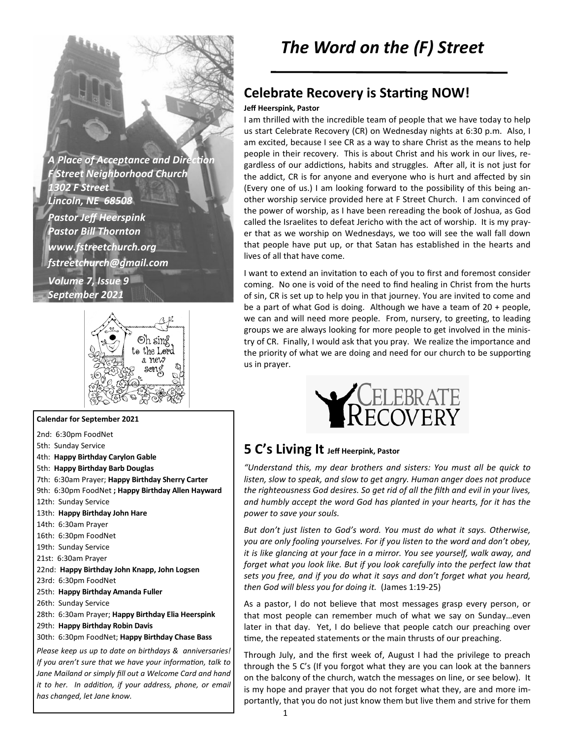**A Place of Acceptance and Direction** *F Street Neighborhood Church 1302 F Street Lincoln, NE 68508 Pastor Jeff Heerspink Pastor Bill Thornton www.fstreetchurch.org fstreetchurch@gmail.com Volume 7, Issue 9 September 2021* 



#### **Calendar for September 2021**

2nd: 6:30pm FoodNet 5th: Sunday Service 4th: **Happy Birthday Carylon Gable**  5th: **Happy Birthday Barb Douglas**  7th: 6:30am Prayer; **Happy Birthday Sherry Carter**  9th: 6:30pm FoodNet **; Happy Birthday Allen Hayward**  12th: Sunday Service 13th: **Happy Birthday John Hare**  14th: 6:30am Prayer 16th: 6:30pm FoodNet 19th: Sunday Service 21st: 6:30am Prayer 22nd: **Happy Birthday John Knapp, John Logsen**  23rd: 6:30pm FoodNet 25th: **Happy Birthday Amanda Fuller**  26th: Sunday Service 28th: 6:30am Prayer; **Happy Birthday Elia Heerspink**  29th: **Happy Birthday Robin Davis**  30th: 6:30pm FoodNet; **Happy Birthday Chase Bass**  *Please keep us up to date on birthdays & anniversaries! If you aren't sure that we have your information, talk to Jane Mailand or simply fill out a Welcome Card and hand it to her. In addition, if your address, phone, or email has changed, let Jane know.* 

## **Celebrate Recovery is Starting NOW!**

#### **Jeff Heerspink, Pastor**

I am thrilled with the incredible team of people that we have today to help us start Celebrate Recovery (CR) on Wednesday nights at 6:30 p.m. Also, I am excited, because I see CR as a way to share Christ as the means to help people in their recovery. This is about Christ and his work in our lives, regardless of our addictions, habits and struggles. After all, it is not just for the addict, CR is for anyone and everyone who is hurt and affected by sin (Every one of us.) I am looking forward to the possibility of this being another worship service provided here at F Street Church. I am convinced of the power of worship, as I have been rereading the book of Joshua, as God called the Israelites to defeat Jericho with the act of worship. It is my prayer that as we worship on Wednesdays, we too will see the wall fall down that people have put up, or that Satan has established in the hearts and lives of all that have come.

I want to extend an invitation to each of you to first and foremost consider coming. No one is void of the need to find healing in Christ from the hurts of sin, CR is set up to help you in that journey. You are invited to come and be a part of what God is doing. Although we have a team of 20 + people, we can and will need more people. From, nursery, to greeting, to leading groups we are always looking for more people to get involved in the ministry of CR. Finally, I would ask that you pray. We realize the importance and the priority of what we are doing and need for our church to be supporting us in prayer.



#### **5 C's Living It Jeff Heerpink, Pastor**

*"Understand this, my dear brothers and sisters: You must all be quick to listen, slow to speak, and slow to get angry. Human anger does not produce the righteousness God desires. So get rid of all the filth and evil in your lives, and humbly accept the word God has planted in your hearts, for it has the power to save your souls.* 

*But don't just listen to God's word. You must do what it says. Otherwise, you are only fooling yourselves. For if you listen to the word and don't obey, it is like glancing at your face in a mirror. You see yourself, walk away, and*  forget what you look like. But if you look carefully into the perfect law that *sets you free, and if you do what it says and don't forget what you heard, then God will bless you for doing it.* (James 1:19-25)

As a pastor, I do not believe that most messages grasp every person, or that most people can remember much of what we say on Sunday…even later in that day. Yet, I do believe that people catch our preaching over time, the repeated statements or the main thrusts of our preaching.

Through July, and the first week of, August I had the privilege to preach through the 5 C's (If you forgot what they are you can look at the banners on the balcony of the church, watch the messages on line, or see below). It is my hope and prayer that you do not forget what they, are and more importantly, that you do not just know them but live them and strive for them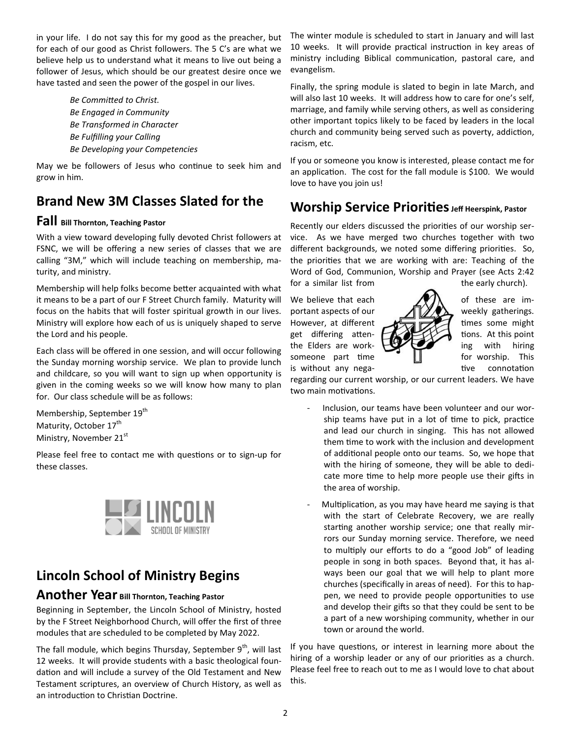in your life. I do not say this for my good as the preacher, but for each of our good as Christ followers. The 5 C's are what we believe help us to understand what it means to live out being a follower of Jesus, which should be our greatest desire once we have tasted and seen the power of the gospel in our lives.

> **Be Committed to Christ.** *Be Engaged in Community Be Transformed in Character Be Fulfilling your Calling Be Developing your Competencies*

May we be followers of Jesus who continue to seek him and grow in him.

## **Brand New 3M Classes Slated for the**

#### **Fall Bill Thornton, Teaching Pastor**

With a view toward developing fully devoted Christ followers at FSNC, we will be offering a new series of classes that we are calling "3M," which will include teaching on membership, maturity, and ministry.

Membership will help folks become better acquainted with what it means to be a part of our F Street Church family. Maturity will focus on the habits that will foster spiritual growth in our lives. Ministry will explore how each of us is uniquely shaped to serve the Lord and his people.

Each class will be offered in one session, and will occur following the Sunday morning worship service. We plan to provide lunch and childcare, so you will want to sign up when opportunity is given in the coming weeks so we will know how many to plan for. Our class schedule will be as follows:

Membership, September 19<sup>th</sup> Maturity, October 17<sup>th</sup> Ministry, November 21st

Please feel free to contact me with questions or to sign-up for these classes.



# **Lincoln School of Ministry Begins**

#### **Another Year Bill Thornton, Teaching Pastor**

Beginning in September, the Lincoln School of Ministry, hosted by the F Street Neighborhood Church, will offer the first of three modules that are scheduled to be completed by May 2022.

The fall module, which begins Thursday, September  $9<sup>th</sup>$ , will last 12 weeks. It will provide students with a basic theological foundation and will include a survey of the Old Testament and New Testament scriptures, an overview of Church History, as well as an introduction to Christian Doctrine.

The winter module is scheduled to start in January and will last 10 weeks. It will provide practical instruction in key areas of ministry including Biblical communication, pastoral care, and evangelism.

Finally, the spring module is slated to begin in late March, and will also last 10 weeks. It will address how to care for one's self, marriage, and family while serving others, as well as considering other important topics likely to be faced by leaders in the local church and community being served such as poverty, addiction, racism, etc.

If you or someone you know is interested, please contact me for an application. The cost for the fall module is \$100. We would love to have you join us!

## **Worship Service Priorities** Jeff Heerspink, Pastor

Recently our elders discussed the priorities of our worship service. As we have merged two churches together with two different backgrounds, we noted some differing priorities. So, the priorities that we are working with are: Teaching of the Word of God, Communion, Worship and Prayer (see Acts 2:42

We believe that each  $\sqrt{1}$  of these are important aspects of our  $\sqrt{||} \sqrt{||} \sqrt{||}$  weekly gatherings. However, at different  $\sqrt{m}$   $\sqrt{m}$  times some might get differing atten-  $\mathbf{A}$ the Elders are work-  $\bigcup_{n=1}^{\infty}$  ing with hiring someone part time  $\|\cdot\|$  for worship. This is without any nega-<br>  $\frac{1}{2}$  tive connotation



regarding our current worship, or our current leaders. We have two main motivations.

- Inclusion, our teams have been volunteer and our worship teams have put in a lot of time to pick, practice and lead our church in singing. This has not allowed them time to work with the inclusion and development of additional people onto our teams. So, we hope that with the hiring of someone, they will be able to dedicate more time to help more people use their gifts in the area of worship.
- Multiplication, as you may have heard me saying is that with the start of Celebrate Recovery, we are really starting another worship service; one that really mirrors our Sunday morning service. Therefore, we need to multiply our efforts to do a "good Job" of leading people in song in both spaces. Beyond that, it has always been our goal that we will help to plant more churches (specifically in areas of need). For this to happen, we need to provide people opportunities to use and develop their gifts so that they could be sent to be a part of a new worshiping community, whether in our town or around the world.

If you have questions, or interest in learning more about the hiring of a worship leader or any of our priorities as a church. Please feel free to reach out to me as I would love to chat about this.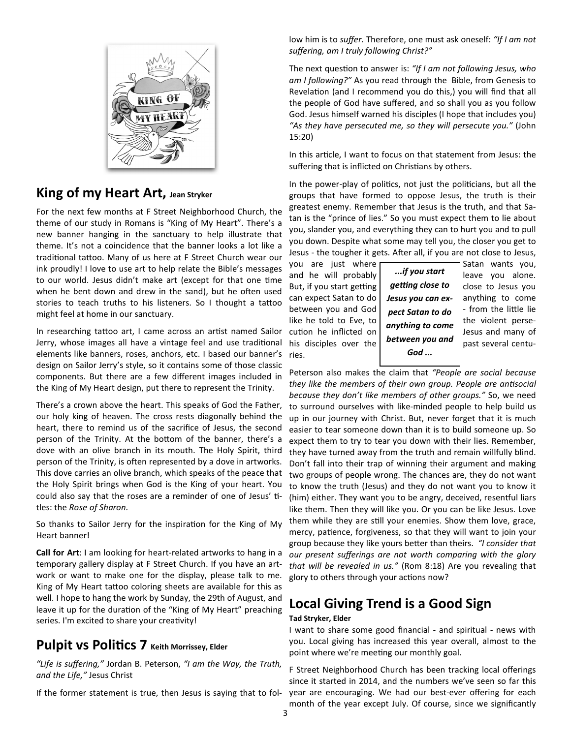

### **King of my Heart Art, Jean Stryker**

For the next few months at F Street Neighborhood Church, the theme of our study in Romans is "King of My Heart". There's a new banner hanging in the sanctuary to help illustrate that theme. It's not a coincidence that the banner looks a lot like a traditional tattoo. Many of us here at F Street Church wear our ink proudly! I love to use art to help relate the Bible's messages to our world. Jesus didn't make art (except for that one time when he bent down and drew in the sand), but he often used stories to teach truths to his listeners. So I thought a tattoo might feel at home in our sanctuary.

In researching tattoo art, I came across an artist named Sailor Jerry, whose images all have a vintage feel and use traditional elements like banners, roses, anchors, etc. I based our banner's design on Sailor Jerry's style, so it contains some of those classic components. But there are a few different images included in the King of My Heart design, put there to represent the Trinity.

There's a crown above the heart. This speaks of God the Father, our holy king of heaven. The cross rests diagonally behind the heart, there to remind us of the sacrifice of Jesus, the second person of the Trinity. At the bottom of the banner, there's a dove with an olive branch in its mouth. The Holy Spirit, third person of the Trinity, is often represented by a dove in artworks. This dove carries an olive branch, which speaks of the peace that the Holy Spirit brings when God is the King of your heart. You could also say that the roses are a reminder of one of Jesus' titles: the *Rose of Sharon.* 

So thanks to Sailor Jerry for the inspiration for the King of My Heart banner!

**Call for Art**: I am looking for heart-related artworks to hang in a temporary gallery display at F Street Church. If you have an artwork or want to make one for the display, please talk to me. King of My Heart tattoo coloring sheets are available for this as well. I hope to hang the work by Sunday, the 29th of August, and leave it up for the duration of the "King of My Heart" preaching series. I'm excited to share your creativity!

#### **Pulpit vs Politics 7** Keith Morrissey, Elder

*"Life is suffering,"* Jordan B. Peterson, *"I am the Way, the Truth, and the Life,"* Jesus Christ

If the former statement is true, then Jesus is saying that to fol-

low him is to *suffer.* Therefore, one must ask oneself: *"If I am not suffering, am I truly following Christ?"* 

The next question to answer is: "If I am not following Jesus, who *am I following?"* As you read through the Bible, from Genesis to Revelation (and I recommend you do this,) you will find that all the people of God have suffered, and so shall you as you follow God. Jesus himself warned his disciples (I hope that includes you) *"As they have persecuted me, so they will persecute you."* (John 15:20)

In this article, I want to focus on that statement from Jesus: the suffering that is inflicted on Christians by others.

In the power-play of politics, not just the politicians, but all the groups that have formed to oppose Jesus, the truth is their greatest enemy. Remember that Jesus is the truth, and that Satan is the "prince of lies." So you must expect them to lie about you, slander you, and everything they can to hurt you and to pull you down. Despite what some may tell you, the closer you get to Jesus - the tougher it gets. After all, if you are not close to Jesus,

and he will probably  $\begin{vmatrix} u & u \\ v & v \end{vmatrix}$  value you alone. But, if you start getting  $\int$  getting close to  $\int$  close to Jesus you can expect Satan to do  $\vert$  **Jesus you can ex-** anything to come between you and God  $\vert$  nect satan to do  $\vert$  from the little lie like he told to Eve, to  $\int$   $\frac{1}{2}$   $\frac{1}{2}$   $\frac{1}{2}$   $\frac{1}{2}$   $\frac{1}{2}$  the violent persecution he inflicted on  $\vert$  and  $\vert$  and  $\vert$  Jesus and many of his disciples over the  $\sqrt{\frac{v_{\text{e}}^2}{v_{\text{e}}^2}}$  we were past several centuries.

*...if you start getting close to Jesus you can expect Satan to do anything to come between you and God ...* 

you are just where  $\sim$  Satan wants you,

Peterson also makes the claim that *"People are social because*  they like the members of their own group. People are antisocial *because they don't like members of other groups."* So, we need to surround ourselves with like-minded people to help build us up in our journey with Christ. But, never forget that it is much easier to tear someone down than it is to build someone up. So expect them to try to tear you down with their lies. Remember, they have turned away from the truth and remain willfully blind. Don't fall into their trap of winning their argument and making two groups of people wrong. The chances are, they do not want to know the truth (Jesus) and they do not want you to know it (him) either. They want you to be angry, deceived, resentful liars like them. Then they will like you. Or you can be like Jesus. Love them while they are still your enemies. Show them love, grace, mercy, patience, forgiveness, so that they will want to join your group because they like yours better than theirs. *"I consider that our present sufferings are not worth comparing with the glory that will be revealed in us."* (Rom 8:18) Are you revealing that glory to others through your actions now?

## **Local Giving Trend is a Good Sign**

#### **Tad Stryker, Elder**

I want to share some good financial - and spiritual - news with you. Local giving has increased this year overall, almost to the point where we're meeting our monthly goal.

F Street Neighborhood Church has been tracking local offerings since it started in 2014, and the numbers we've seen so far this year are encouraging. We had our best-ever offering for each month of the year except July. Of course, since we significantly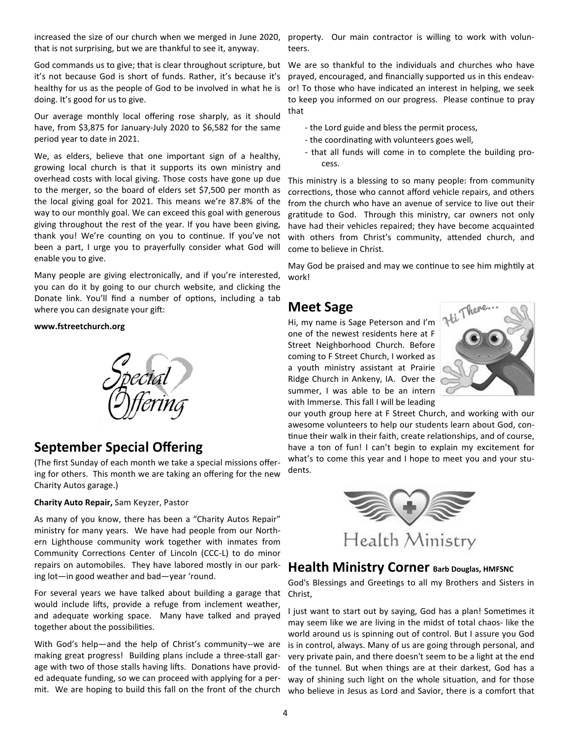increased the size of our church when we merged in June 2020, that is not surprising, but we are thankful to see it, anyway.

it's not because God is short of funds. Rather, it's because it's healthy for us as the people of God to be involved in what he is doing. It's good for us to give.

Our average monthly local offering rose sharply, as it should have, from \$3,875 for January-July 2020 to \$6,582 for the same period year to date in 2021.

We, as elders, believe that one important sign of a healthy, growing local church is that it supports its own ministry and overhead costs with local giving. Those costs have gone up due to the merger, so the board of elders set \$7,500 per month as the local giving goal for 2021. This means we're 87.8% of the way to our monthly goal. We can exceed this goal with generous giving throughout the rest of the year. If you have been giving, thank you! We're counting on you to continue. If you've not been a part, I urge you to prayerfully consider what God will enable you to give.

Many people are giving electronically, and if you're interested, you can do it by going to our church website, and clicking the Donate link. You'll find a number of options, including a tab where you can designate your gift:

#### **www.fstreetchurch.org**



### **September Special Offering**

(The first Sunday of each month we take a special missions offering for others. This month we are taking an offering for the new Charity Autos garage.)

**Charity Auto Repair,** Sam Keyzer, Pastor

As many of you know, there has been a "Charity Autos Repair" ministry for many years. We have had people from our Northern Lighthouse community work together with inmates from Community Corrections Center of Lincoln (CCC-L) to do minor repairs on automobiles. They have labored mostly in our parking lot—in good weather and bad—year 'round.

For several years we have talked about building a garage that would include lifts, provide a refuge from inclement weather, and adequate working space. Many have talked and prayed together about the possibilities.

With God's help—and the help of Christ's community--we are making great progress! Building plans include a three-stall garage with two of those stalls having lifts. Donations have provided adequate funding, so we can proceed with applying for a per-

property. Our main contractor is willing to work with volunteers.

God commands us to give; that is clear throughout scripture, but We are so thankful to the individuals and churches who have prayed, encouraged, and financially supported us in this endeavor! To those who have indicated an interest in helping, we seek to keep you informed on our progress. Please continue to pray that

- the Lord guide and bless the permit process,
- the coordinating with volunteers goes well,
- that all funds will come in to complete the building process.

This ministry is a blessing to so many people: from community corrections, those who cannot afford vehicle repairs, and others from the church who have an avenue of service to live out their gratitude to God. Through this ministry, car owners not only have had their vehicles repaired; they have become acquainted with others from Christ's community, attended church, and come to believe in Christ.

May God be praised and may we continue to see him mightily at work!

### **Meet Sage**

Hi, my name is Sage Peterson and I'm one of the newest residents here at F Street Neighborhood Church. Before coming to F Street Church, I worked as a youth ministry assistant at Prairie Ridge Church in Ankeny, IA. Over the summer, I was able to be an intern with Immerse. This fall I will be leading



our youth group here at F Street Church, and working with our awesome volunteers to help our students learn about God, continue their walk in their faith, create relationships, and of course, have a ton of fun! I can't begin to explain my excitement for what's to come this year and I hope to meet you and your students.



#### **Health Ministry Corner Barb Douglas, HMFSNC**

God's Blessings and Greetings to all my Brothers and Sisters in Christ,

I just want to start out by saying, God has a plan! Sometimes it may seem like we are living in the midst of total chaos- like the world around us is spinning out of control. But I assure you God is in control, always. Many of us are going through personal, and very private pain, and there doesn't seem to be a light at the end of the tunnel. But when things are at their darkest, God has a way of shining such light on the whole situation, and for those mit. We are hoping to build this fall on the front of the church who believe in Jesus as Lord and Savior, there is a comfort that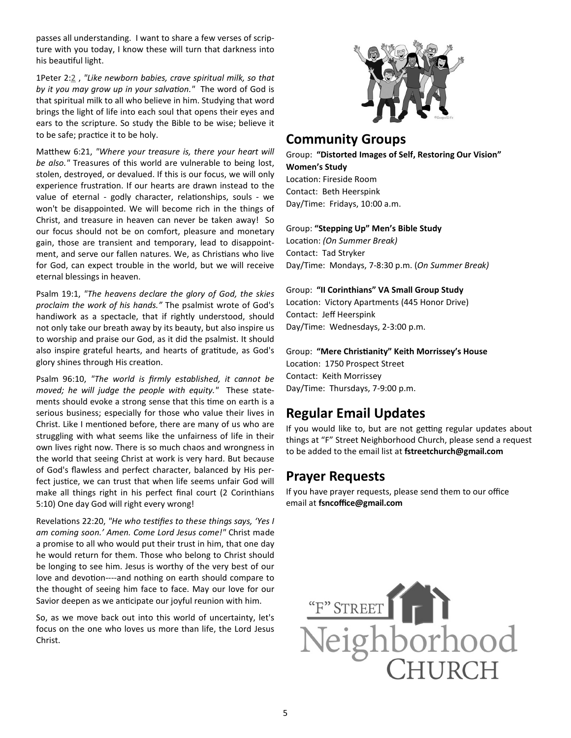passes all understanding. I want to share a few verses of scripture with you today, I know these will turn that darkness into his beautiful light.

1Peter 2:2 , *"Like newborn babies, crave spiritual milk, so that* by it you may grow up in your salvation." The word of God is that spiritual milk to all who believe in him. Studying that word brings the light of life into each soul that opens their eyes and ears to the scripture. So study the Bible to be wise; believe it to be safe; practice it to be holy.

Matthew 6:21, "Where your treasure is, there your heart will *be also."* Treasures of this world are vulnerable to being lost, stolen, destroyed, or devalued. If this is our focus, we will only experience frustration. If our hearts are drawn instead to the value of eternal - godly character, relationships, souls - we won't be disappointed. We will become rich in the things of Christ, and treasure in heaven can never be taken away! So our focus should not be on comfort, pleasure and monetary gain, those are transient and temporary, lead to disappointment, and serve our fallen natures. We, as Christians who live for God, can expect trouble in the world, but we will receive eternal blessings in heaven.

Psalm 19:1, *"The heavens declare the glory of God, the skies proclaim the work of his hands."* The psalmist wrote of God's handiwork as a spectacle, that if rightly understood, should not only take our breath away by its beauty, but also inspire us to worship and praise our God, as it did the psalmist. It should also inspire grateful hearts, and hearts of gratitude, as God's glory shines through His creation.

Psalm 96:10, *"The world is firmly established, it cannot be moved; he will judge the people with equity."* These statements should evoke a strong sense that this time on earth is a serious business; especially for those who value their lives in Christ. Like I mentioned before, there are many of us who are struggling with what seems like the unfairness of life in their own lives right now. There is so much chaos and wrongness in the world that seeing Christ at work is very hard. But because of God's flawless and perfect character, balanced by His perfect justice, we can trust that when life seems unfair God will make all things right in his perfect final court (2 Corinthians 5:10) One day God will right every wrong!

Revelations 22:20, "He who testifies to these things says, 'Yes I *am coming soon.' Amen. Come Lord Jesus come!"* Christ made a promise to all who would put their trust in him, that one day he would return for them. Those who belong to Christ should be longing to see him. Jesus is worthy of the very best of our love and devotion----and nothing on earth should compare to the thought of seeing him face to face. May our love for our Savior deepen as we anticipate our joyful reunion with him.

So, as we move back out into this world of uncertainty, let's focus on the one who loves us more than life, the Lord Jesus Christ.



#### **Community Groups**

Group: **"Distorted Images of Self, Restoring Our Vision" Women's Study** Location: Fireside Room Contact: Beth Heerspink Day/Time: Fridays, 10:00 a.m.

#### Group: **"Stepping Up" Men's Bible Study**

Location: *(On Summer Break)* Contact: Tad Stryker Day/Time: Mondays, 7-8:30 p.m. (*On Summer Break)* 

#### Group: **"II Corinthians" VA Small Group Study**

Location: Victory Apartments (445 Honor Drive) Contact: Jeff Heerspink Day/Time: Wednesdays, 2-3:00 p.m.

Group: **"Mere Chris\*anity" Keith Morrissey's House** Location: 1750 Prospect Street Contact: Keith Morrissey Day/Time: Thursdays, 7-9:00 p.m.

## **Regular Email Updates**

If you would like to, but are not getting regular updates about things at "F" Street Neighborhood Church, please send a request to be added to the email list at **fstreetchurch@gmail.com**

### **Prayer Requests**

If you have prayer requests, please send them to our office email at **fsncoffice@gmail.com**